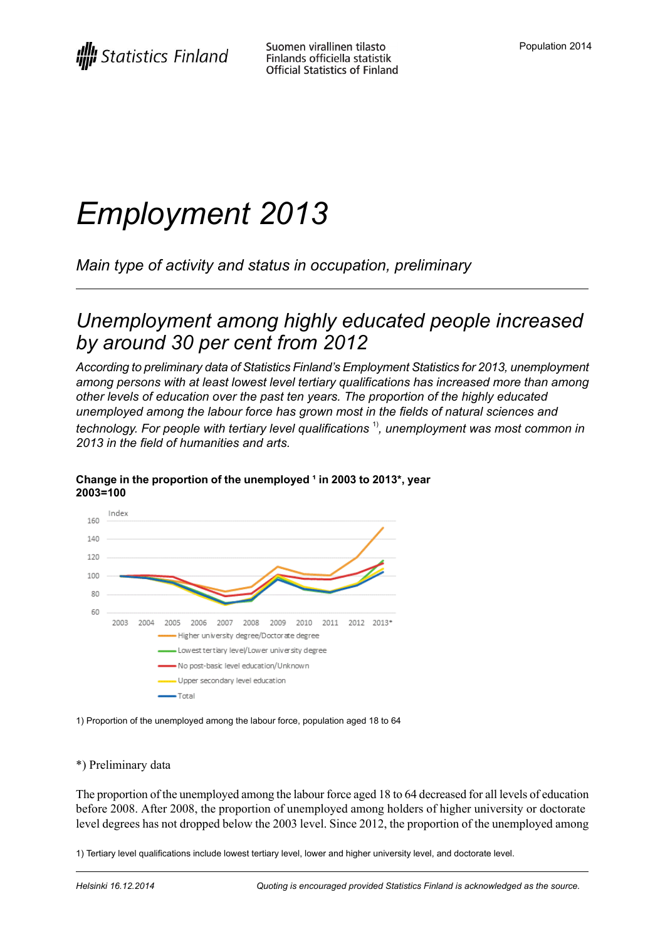# *Employment 2013*

*Main type of activity and status in occupation, preliminary*

### *Unemployment among highly educated people increased by around 30 per cent from 2012*

*According to preliminary data of Statistics Finland's Employment Statistics for 2013, unemployment among persons with at least lowest level tertiary qualifications has increased more than among other levels of education over the past ten years. The proportion of the highly educated unemployed among the labour force has grown most in the fields of natural sciences and technology. For people with tertiary level qualifications* 1) *, unemployment was most common in 2013 in the field of humanities and arts.*



#### **Change in the proportion of the unemployed ¹ in 2003 to 2013\*, year 2003=100**

1) Proportion of the unemployed among the labour force, population aged 18 to 64

#### \*) Preliminary data

The proportion of the unemployed among the labour force aged 18 to 64 decreased for all levels of education before 2008. After 2008, the proportion of unemployed among holders of higher university or doctorate level degrees has not dropped below the 2003 level. Since 2012, the proportion of the unemployed among

1) Tertiary level qualifications include lowest tertiary level, lower and higher university level, and doctorate level.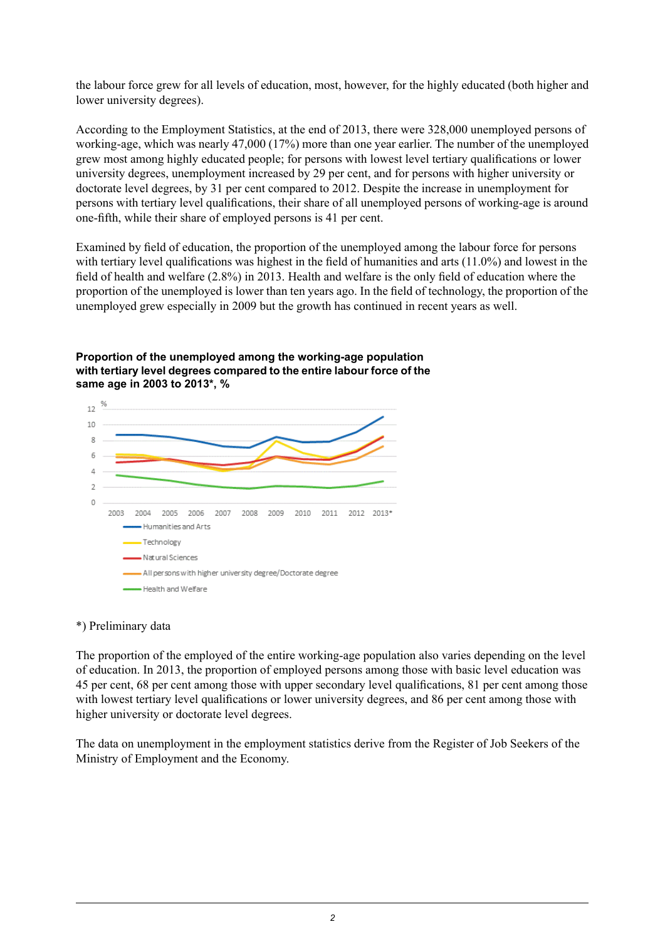the labour force grew for all levels of education, most, however, for the highly educated (both higher and lower university degrees).

According to the Employment Statistics, at the end of 2013, there were 328,000 unemployed persons of working-age, which was nearly 47,000 (17%) more than one year earlier. The number of the unemployed grew most among highly educated people; for persons with lowest level tertiary qualifications or lower university degrees, unemployment increased by 29 per cent, and for persons with higher university or doctorate level degrees, by 31 per cent compared to 2012. Despite the increase in unemployment for persons with tertiary level qualifications, their share of all unemployed persons of working-age is around one-fifth, while their share of employed persons is 41 per cent.

Examined by field of education, the proportion of the unemployed among the labour force for persons with tertiary level qualifications was highest in the field of humanities and arts (11.0%) and lowest in the field of health and welfare (2.8%) in 2013. Health and welfare is the only field of education where the proportion of the unemployed is lower than ten years ago. In the field of technology, the proportion of the unemployed grew especially in 2009 but the growth has continued in recent years as well.



**Proportion of the unemployed among the working-age population with tertiary level degrees compared to the entire labour force of the same age in 2003 to 2013\*, %**

#### \*) Preliminary data

The proportion of the employed of the entire working-age population also varies depending on the level of education. In 2013, the proportion of employed persons among those with basic level education was 45 per cent, 68 per cent among those with upper secondary level qualifications, 81 per cent among those with lowest tertiary level qualifications or lower university degrees, and 86 per cent among those with higher university or doctorate level degrees.

The data on unemployment in the employment statistics derive from the Register of Job Seekers of the Ministry of Employment and the Economy.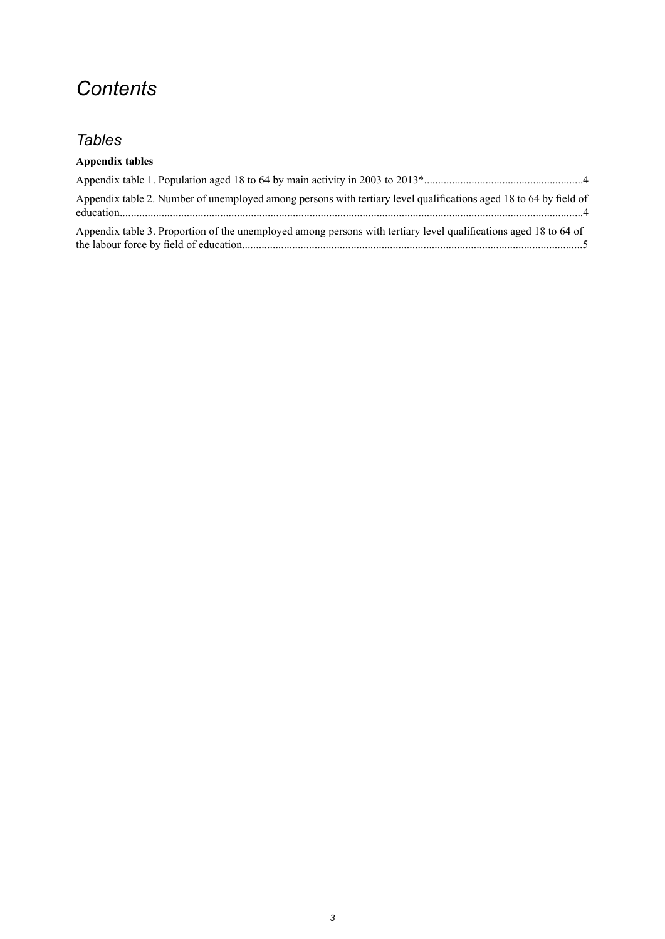### *Contents*

#### *Tables*

#### **Appendix tables**

| Appendix table 2. Number of unemployed among persons with tertiary level qualifications aged 18 to 64 by field of |  |
|-------------------------------------------------------------------------------------------------------------------|--|
| Appendix table 3. Proportion of the unemployed among persons with tertiary level qualifications aged 18 to 64 of  |  |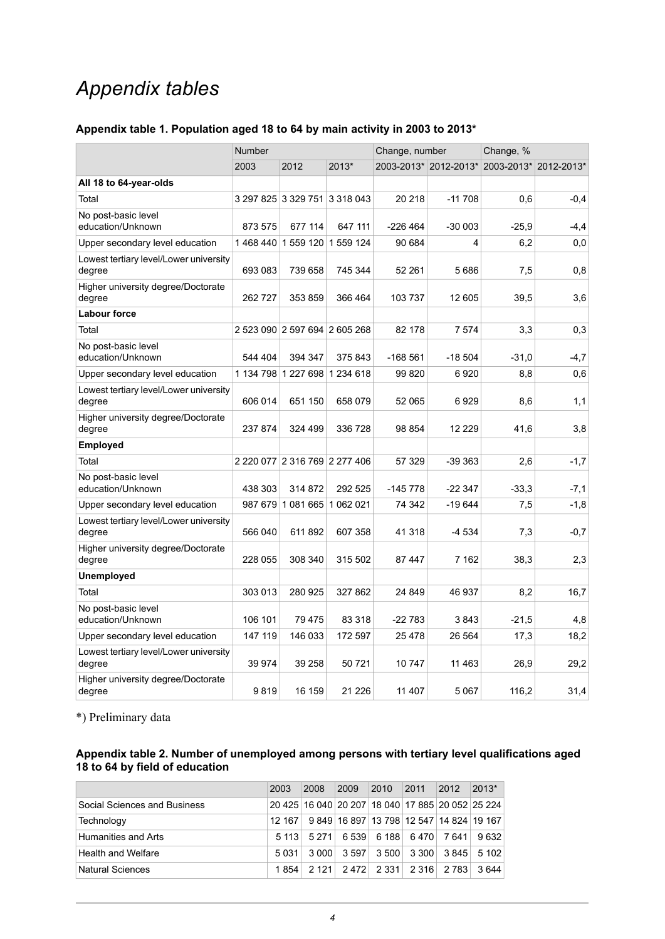### *Appendix tables*

#### <span id="page-3-0"></span>**Appendix table 1. Population aged 18 to 64 by main activity in 2003 to 2013\***

|                                                  | <b>Number</b> |                               |           | Change, number |                                             | Change, % |         |  |
|--------------------------------------------------|---------------|-------------------------------|-----------|----------------|---------------------------------------------|-----------|---------|--|
|                                                  | 2003          | 2012                          | 2013*     |                | 2003-2013* 2012-2013* 2003-2013* 2012-2013* |           |         |  |
| All 18 to 64-year-olds                           |               |                               |           |                |                                             |           |         |  |
| Total                                            |               | 3 297 825 3 329 751 3 318 043 |           | 20 218         | $-11708$                                    | 0,6       | $-0,4$  |  |
| No post-basic level<br>education/Unknown         | 873 575       | 677 114                       | 647 111   | $-226464$      | $-30003$                                    | $-25.9$   | $-4, 4$ |  |
| Upper secondary level education                  |               | 1468 440 1559 120             | 1 559 124 | 90 684         | 4                                           | 6,2       | 0,0     |  |
| Lowest tertiary level/Lower university<br>degree | 693 083       | 739 658                       | 745 344   | 52 261         | 5686                                        | 7,5       | 0,8     |  |
| Higher university degree/Doctorate<br>degree     | 262727        | 353 859                       | 366 464   | 103 737        | 12 605                                      | 39,5      | 3,6     |  |
| <b>Labour force</b>                              |               |                               |           |                |                                             |           |         |  |
| Total                                            |               | 2 523 090 2 597 694 2 605 268 |           | 82 178         | 7 5 7 4                                     | 3,3       | 0,3     |  |
| No post-basic level<br>education/Unknown         | 544 404       | 394 347                       | 375 843   | $-168561$      | $-18504$                                    | $-31,0$   | $-4,7$  |  |
| Upper secondary level education                  |               | 1 134 798 1 227 698 1 234 618 |           | 99 820         | 6920                                        | 8,8       | 0,6     |  |
| Lowest tertiary level/Lower university<br>degree | 606 014       | 651 150                       | 658 079   | 52 065         | 6929                                        | 8,6       | 1,1     |  |
| Higher university degree/Doctorate<br>degree     | 237 874       | 324 499                       | 336 728   | 98 854         | 12 2 2 9                                    | 41,6      | 3,8     |  |
| Employed                                         |               |                               |           |                |                                             |           |         |  |
| Total                                            |               | 2 220 077 2 316 769 2 277 406 |           | 57 329         | $-39363$                                    | 2,6       | $-1,7$  |  |
| No post-basic level<br>education/Unknown         | 438 303       | 314 872                       | 292 525   | $-145778$      | $-22347$                                    | $-33,3$   | $-7,1$  |  |
| Upper secondary level education                  |               | 987 679 1 081 665 1 062 021   |           | 74 342         | $-19644$                                    | 7,5       | $-1,8$  |  |
| Lowest tertiary level/Lower university<br>degree | 566 040       | 611 892                       | 607 358   | 41 318         | $-4534$                                     | 7,3       | $-0,7$  |  |
| Higher university degree/Doctorate<br>degree     | 228 055       | 308 340                       | 315 502   | 87447          | 7 162                                       | 38,3      | 2,3     |  |
| Unemployed                                       |               |                               |           |                |                                             |           |         |  |
| Total                                            | 303 013       | 280 925                       | 327 862   | 24 849         | 46 937                                      | 8,2       | 16,7    |  |
| No post-basic level<br>education/Unknown         | 106 101       | 79 475                        | 83 318    | $-22783$       | 3843                                        | $-21.5$   | 4,8     |  |
| Upper secondary level education                  | 147 119       | 146 033                       | 172 597   | 25 4 78        | 26 5 64                                     | 17,3      | 18,2    |  |
| Lowest tertiary level/Lower university<br>degree | 39 974        | 39 258                        | 50 721    | 10 747         | 11 463                                      | 26,9      | 29,2    |  |
| Higher university degree/Doctorate<br>degree     | 9819          | 16 159                        | 21 2 26   | 11 407         | 5 0 6 7                                     | 116,2     | 31,4    |  |

<span id="page-3-1"></span>\*) Preliminary data

#### **Appendix table 2. Number of unemployed among persons with tertiary level qualifications aged 18 to 64 by field of education**

|                              | 2003   | 2008                                             | 2009  | 2010      | 2011    | 2012                                     | 2013* |
|------------------------------|--------|--------------------------------------------------|-------|-----------|---------|------------------------------------------|-------|
| Social Sciences and Business |        | 20 425 16 040 20 207 18 040 17 885 20 052 25 224 |       |           |         |                                          |       |
| Technology                   | 12 167 |                                                  |       |           |         | 9 849 16 897 13 798 12 547 14 824 19 167 |       |
| <b>Humanities and Arts</b>   | 5113   | 5 2 7 1                                          | 6 539 | 6 188⊺    | 6 470   | 7641                                     | 9632  |
| <b>Health and Welfare</b>    | 5031   | 3000                                             | 3.597 | 3500      | 3 300   | 3845                                     | 5102  |
| Natural Sciences             | 1854   | 2121                                             |       | 2472 2331 | 2 3 1 6 | 2 783                                    | 3.644 |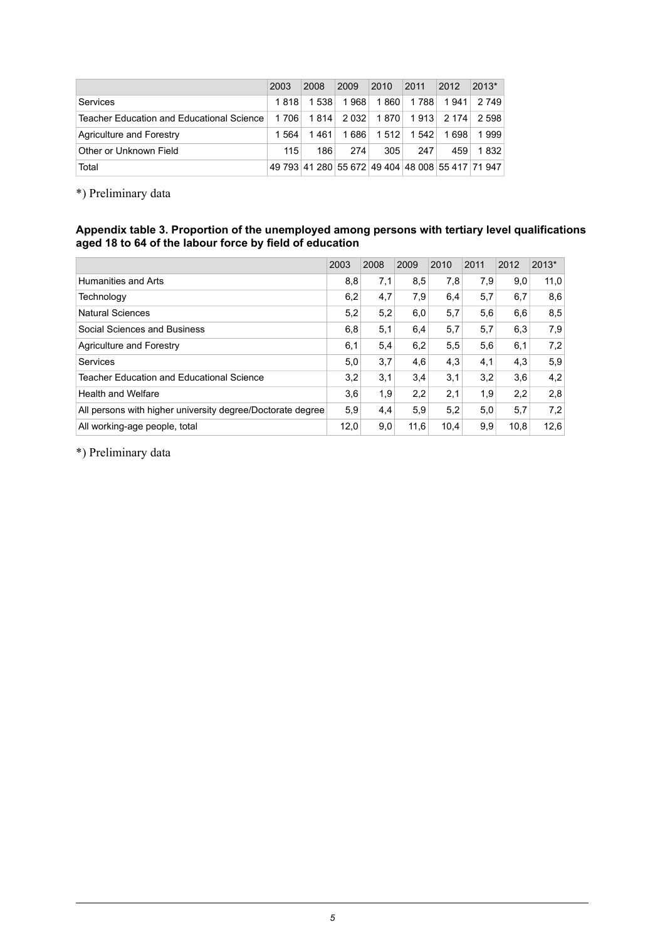|                                           | 2003  | 2008                                             | 2009  | 2010                                  | 2011          | 2012  | $2013*$   |
|-------------------------------------------|-------|--------------------------------------------------|-------|---------------------------------------|---------------|-------|-----------|
| Services                                  | 1 818 | 1538                                             | 1968  | 1 860                                 | 1 788         |       | 1941 2749 |
| Teacher Education and Educational Science | 1 706 | 1 814                                            |       | 2 032   1 870   1 913   2 174   2 598 |               |       |           |
| Agriculture and Forestry                  | 1.564 | 1 461                                            | 1 686 |                                       | 1 512   1 542 | 1 698 | 1999      |
| Other or Unknown Field                    | 115   | 186                                              | 274   | 305                                   | 247           | 459   | 1832      |
| Total                                     |       | 49 793 41 280 55 672 49 404 48 008 55 417 71 947 |       |                                       |               |       |           |

<span id="page-4-0"></span>\*) Preliminary data

#### **Appendix table 3. Proportion of the unemployed among persons with tertiary level qualifications aged 18 to 64 of the labour force by field of education**

|                                                            | 2003 | 2008 | 2009 | 2010 | 2011 | 2012 | $2013*$ |
|------------------------------------------------------------|------|------|------|------|------|------|---------|
| Humanities and Arts                                        | 8,8  | 7,1  | 8,5  | 7,8  | 7,9  | 9,0  | 11,0    |
| Technology                                                 | 6,2  | 4,7  | 7,9  | 6.4  | 5,7  | 6,7  | 8,6     |
| <b>Natural Sciences</b>                                    | 5,2  | 5,2  | 6,0  | 5,7  | 5,6  | 6,6  | 8,5     |
| Social Sciences and Business                               | 6,8  | 5,1  | 6,4  | 5,7  | 5,7  | 6,3  | 7,9     |
| Agriculture and Forestry                                   | 6,1  | 5,4  | 6,2  | 5,5  | 5,6  | 6,1  | 7,2     |
| Services                                                   | 5,0  | 3,7  | 4,6  | 4,3  | 4,1  | 4,3  | 5,9     |
| Teacher Education and Educational Science                  | 3,2  | 3,1  | 3,4  | 3,1  | 3.2  | 3,6  | 4,2     |
| <b>Health and Welfare</b>                                  | 3,6  | 1,9  | 2,2  | 2,1  | 1,9  | 2,2  | 2,8     |
| All persons with higher university degree/Doctorate degree | 5,9  | 4,4  | 5,9  | 5,2  | 5,0  | 5,7  | 7,2     |
| All working-age people, total                              | 12,0 | 9,0  | 11,6 | 10,4 | 9,9  | 10,8 | 12,6    |

\*) Preliminary data